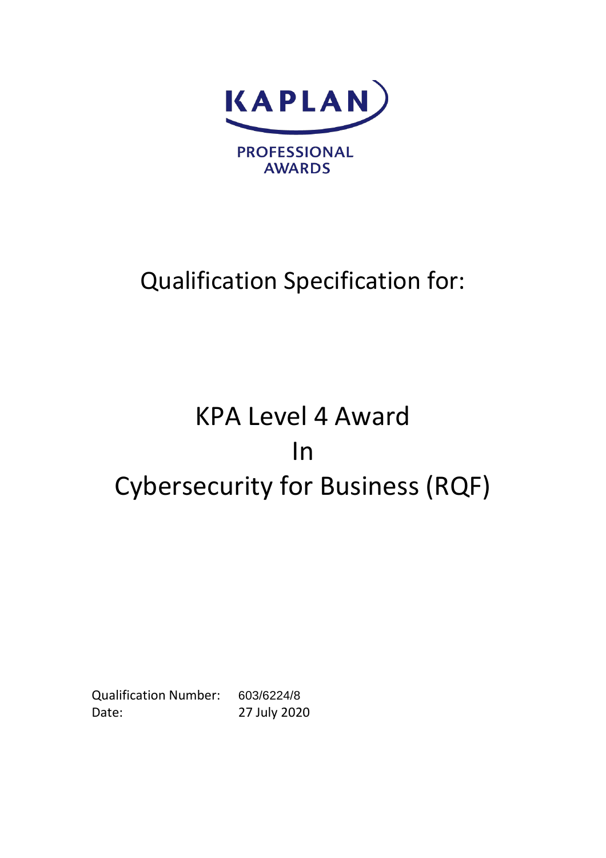

# Qualification Specification for:

# KPA Level 4 Award In Cybersecurity for Business (RQF)

Qualification Number: 603/6224/8 Date: 27 July 2020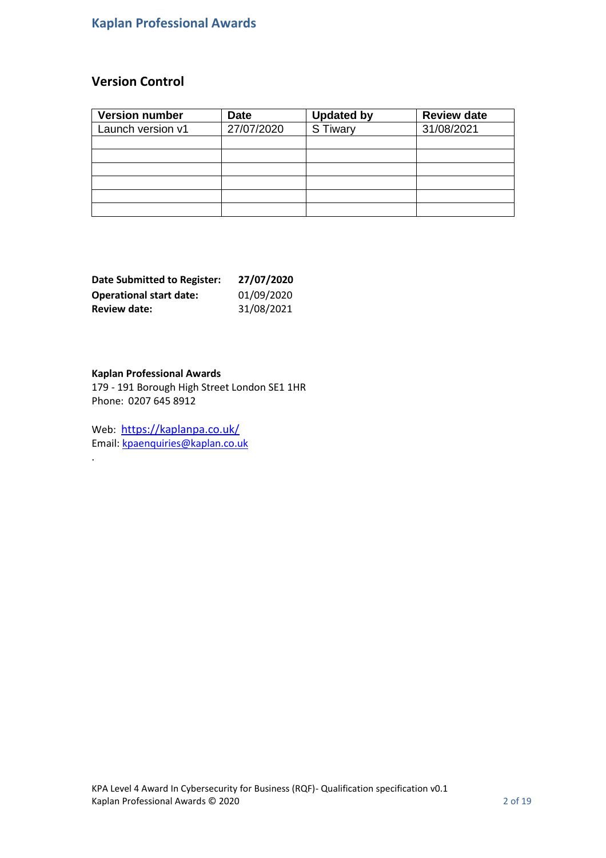## **Kaplan Professional Awards**

### **Version Control**

| <b>Version number</b> | <b>Date</b> | <b>Updated by</b> | <b>Review date</b> |
|-----------------------|-------------|-------------------|--------------------|
| Launch version v1     | 27/07/2020  | S Tiwary          | 31/08/2021         |
|                       |             |                   |                    |
|                       |             |                   |                    |
|                       |             |                   |                    |
|                       |             |                   |                    |
|                       |             |                   |                    |
|                       |             |                   |                    |

| <b>Date Submitted to Register:</b> | 27/07/2020 |
|------------------------------------|------------|
| <b>Operational start date:</b>     | 01/09/2020 |
| <b>Review date:</b>                | 31/08/2021 |

### **Kaplan Professional Awards**

.

179 - 191 Borough High Street London SE1 1HR Phone: 0207 645 8912

Web: <https://kaplanpa.co.uk/> Email: [kpaenquiries@kaplan.co.uk](mailto:kpaenquiries@kaplan.co.uk)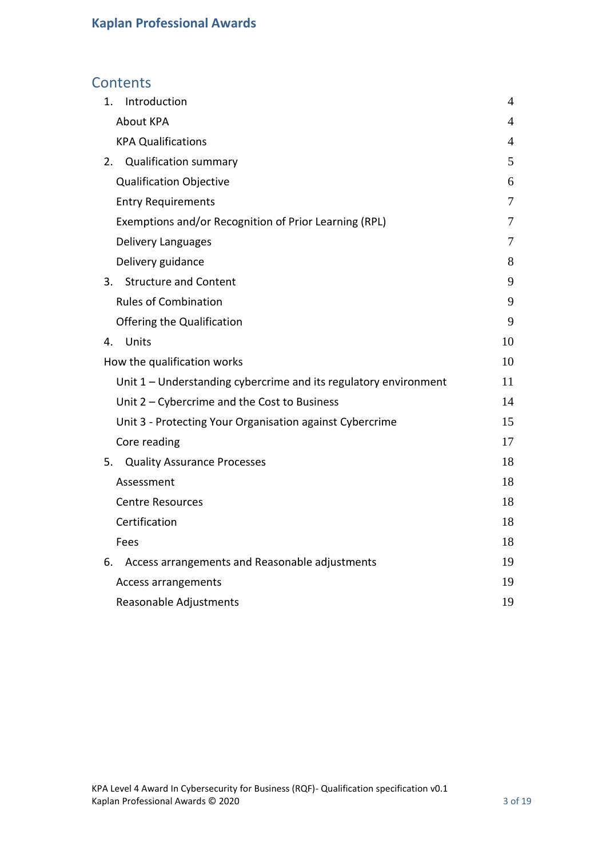### **Contents**

| Introduction<br>1.                                               | 4  |
|------------------------------------------------------------------|----|
| <b>About KPA</b>                                                 | 4  |
| <b>KPA Qualifications</b>                                        | 4  |
| 2. Qualification summary                                         | 5  |
| <b>Qualification Objective</b>                                   | 6  |
| <b>Entry Requirements</b>                                        | 7  |
| Exemptions and/or Recognition of Prior Learning (RPL)            | 7  |
| Delivery Languages                                               | 7  |
| Delivery guidance                                                | 8  |
| 3. Structure and Content                                         | 9  |
| <b>Rules of Combination</b>                                      | 9  |
| Offering the Qualification                                       | 9  |
| Units<br>4.                                                      | 10 |
| How the qualification works                                      | 10 |
| Unit 1 – Understanding cybercrime and its regulatory environment | 11 |
| Unit 2 - Cybercrime and the Cost to Business                     | 14 |
| Unit 3 - Protecting Your Organisation against Cybercrime         | 15 |
| Core reading                                                     | 17 |
| 5. Quality Assurance Processes                                   | 18 |
| Assessment                                                       | 18 |
| <b>Centre Resources</b>                                          | 18 |
| Certification                                                    | 18 |
| Fees                                                             | 18 |
| Access arrangements and Reasonable adjustments<br>6.             | 19 |
| Access arrangements                                              | 19 |
| Reasonable Adjustments                                           | 19 |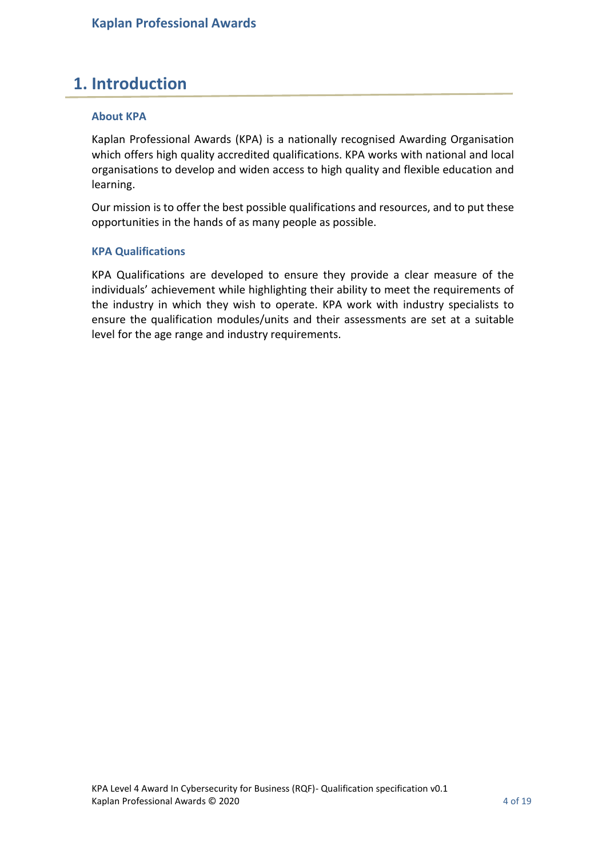### <span id="page-3-0"></span>**1. Introduction**

### <span id="page-3-1"></span>**About KPA**

Kaplan Professional Awards (KPA) is a nationally recognised Awarding Organisation which offers high quality accredited qualifications. KPA works with national and local organisations to develop and widen access to high quality and flexible education and learning.

Our mission is to offer the best possible qualifications and resources, and to put these opportunities in the hands of as many people as possible.

### <span id="page-3-2"></span>**KPA Qualifications**

KPA Qualifications are developed to ensure they provide a clear measure of the individuals' achievement while highlighting their ability to meet the requirements of the industry in which they wish to operate. KPA work with industry specialists to ensure the qualification modules/units and their assessments are set at a suitable level for the age range and industry requirements.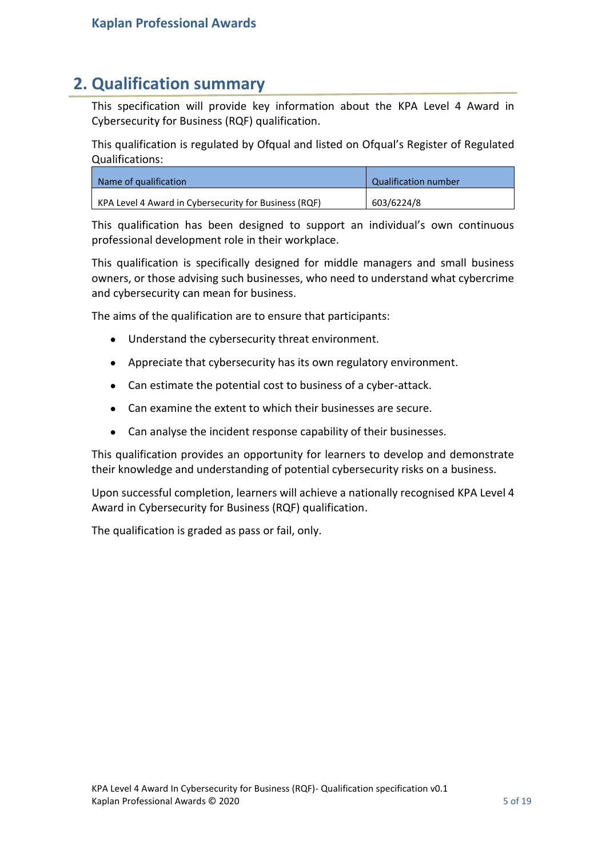### <span id="page-4-0"></span>**2. Qualification summary**

This specification will provide key information about the KPA Level 4 Award in Cybersecurity for Business (RQF) qualification.

This qualification is regulated by Ofqual and listed on Ofqual's Register of Regulated Qualifications:

| Name of qualification                                 | Qualification number |
|-------------------------------------------------------|----------------------|
| KPA Level 4 Award in Cybersecurity for Business (RQF) | 603/6224/8           |

This qualification has been designed to support an individual's own continuous professional development role in their workplace.

This qualification is specifically designed for middle managers and small business owners, or those advising such businesses, who need to understand what cybercrime and cybersecurity can mean for business.

The aims of the qualification are to ensure that participants:

- Understand the cybersecurity threat environment.
- Appreciate that cybersecurity has its own regulatory environment.
- Can estimate the potential cost to business of a cyber-attack.
- Can examine the extent to which their businesses are secure.
- Can analyse the incident response capability of their businesses.

This qualification provides an opportunity for learners to develop and demonstrate their knowledge and understanding of potential cybersecurity risks on a business.

Upon successful completion, learners will achieve a nationally recognised KPA Level 4 Award in Cybersecurity for Business (RQF) qualification.

The qualification is graded as pass or fail, only.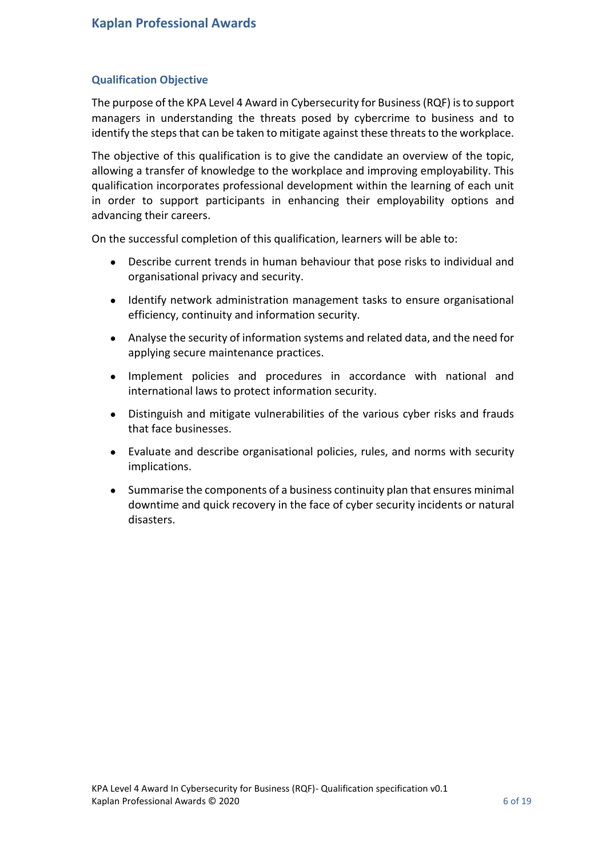### <span id="page-5-0"></span>**Qualification Objective**

The purpose of the KPA Level 4 Award in Cybersecurity for Business (RQF) is to support managers in understanding the threats posed by cybercrime to business and to identify the steps that can be taken to mitigate against these threats to the workplace.

The objective of this qualification is to give the candidate an overview of the topic, allowing a transfer of knowledge to the workplace and improving employability. This qualification incorporates professional development within the learning of each unit in order to support participants in enhancing their employability options and advancing their careers.

On the successful completion of this qualification, learners will be able to:

- Describe current trends in human behaviour that pose risks to individual and organisational privacy and security.
- Identify network administration management tasks to ensure organisational efficiency, continuity and information security.
- Analyse the security of information systems and related data, and the need for applying secure maintenance practices.
- Implement policies and procedures in accordance with national and international laws to protect information security.
- Distinguish and mitigate vulnerabilities of the various cyber risks and frauds that face businesses.
- Evaluate and describe organisational policies, rules, and norms with security implications.
- Summarise the components of a business continuity plan that ensures minimal downtime and quick recovery in the face of cyber security incidents or natural disasters.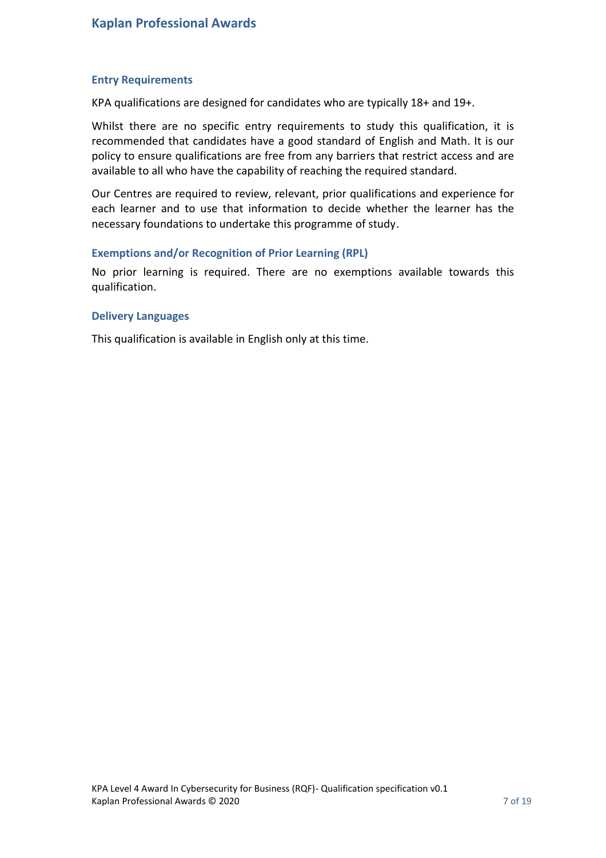### <span id="page-6-0"></span>**Entry Requirements**

KPA qualifications are designed for candidates who are typically 18+ and 19+.

Whilst there are no specific entry requirements to study this qualification, it is recommended that candidates have a good standard of English and Math. It is our policy to ensure qualifications are free from any barriers that restrict access and are available to all who have the capability of reaching the required standard.

Our Centres are required to review, relevant, prior qualifications and experience for each learner and to use that information to decide whether the learner has the necessary foundations to undertake this programme of study.

### <span id="page-6-1"></span>**Exemptions and/or Recognition of Prior Learning (RPL)**

No prior learning is required. There are no exemptions available towards this qualification.

### <span id="page-6-2"></span>**Delivery Languages**

This qualification is available in English only at this time.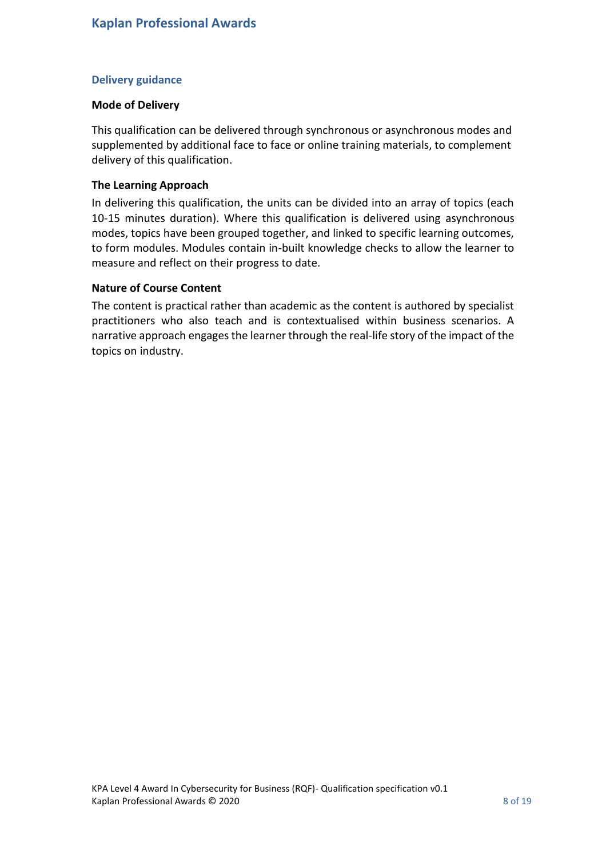### <span id="page-7-0"></span>**Delivery guidance**

### **Mode of Delivery**

This qualification can be delivered through synchronous or asynchronous modes and supplemented by additional face to face or online training materials, to complement delivery of this qualification.

### **The Learning Approach**

In delivering this qualification, the units can be divided into an array of topics (each 10-15 minutes duration). Where this qualification is delivered using asynchronous modes, topics have been grouped together, and linked to specific learning outcomes, to form modules. Modules contain in-built knowledge checks to allow the learner to measure and reflect on their progress to date.

### **Nature of Course Content**

The content is practical rather than academic as the content is authored by specialist practitioners who also teach and is contextualised within business scenarios. A narrative approach engages the learner through the real-life story of the impact of the topics on industry.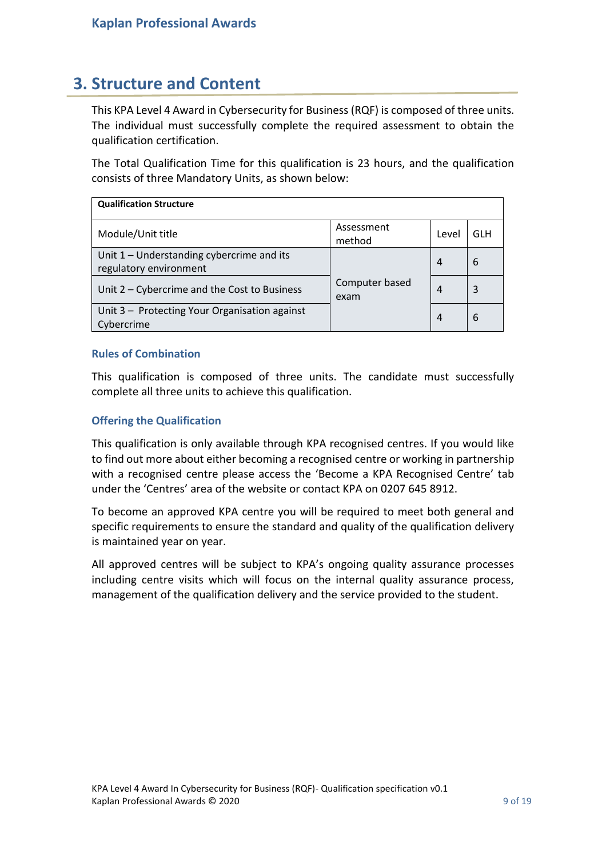## <span id="page-8-0"></span>**3. Structure and Content**

This KPA Level 4 Award in Cybersecurity for Business (RQF) is composed of three units. The individual must successfully complete the required assessment to obtain the qualification certification.

The Total Qualification Time for this qualification is 23 hours, and the qualification consists of three Mandatory Units, as shown below:

| <b>Qualification Structure</b>                                      |                        |       |     |
|---------------------------------------------------------------------|------------------------|-------|-----|
| Module/Unit title                                                   | Assessment<br>method   | Level | GLH |
| Unit 1 - Understanding cybercrime and its<br>regulatory environment |                        | 4     | 6   |
| Unit 2 – Cybercrime and the Cost to Business                        | Computer based<br>exam | 4     | 3   |
| Unit 3 - Protecting Your Organisation against<br>Cybercrime         |                        | 4     | 6   |

### <span id="page-8-1"></span>**Rules of Combination**

This qualification is composed of three units. The candidate must successfully complete all three units to achieve this qualification.

### <span id="page-8-2"></span>**Offering the Qualification**

This qualification is only available through KPA recognised centres. If you would like to find out more about either becoming a recognised centre or working in partnership with a recognised centre please access the 'Become a KPA Recognised Centre' tab under the 'Centres' area of the website or contact KPA on 0207 645 8912.

To become an approved KPA centre you will be required to meet both general and specific requirements to ensure the standard and quality of the qualification delivery is maintained year on year.

All approved centres will be subject to KPA's ongoing quality assurance processes including centre visits which will focus on the internal quality assurance process, management of the qualification delivery and the service provided to the student.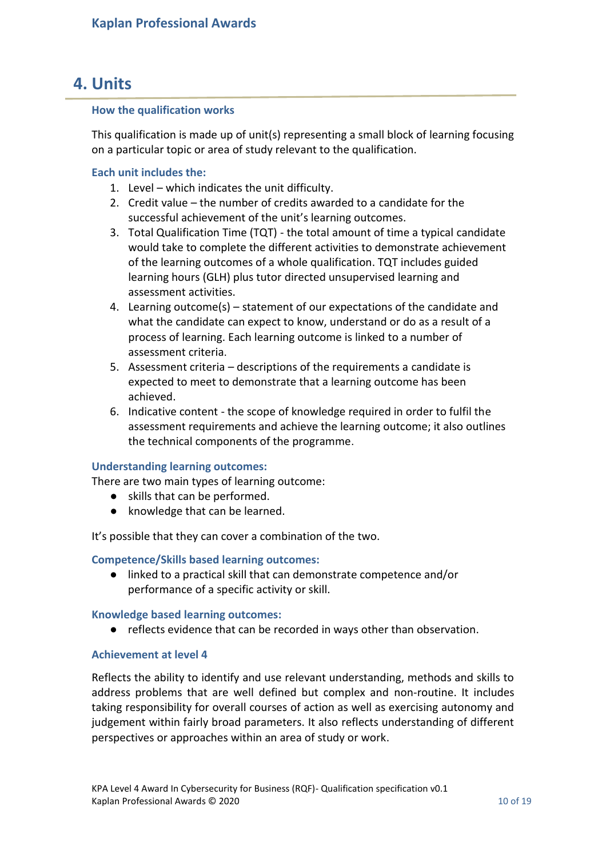# <span id="page-9-0"></span>**4. Units**

### <span id="page-9-1"></span>**How the qualification works**

This qualification is made up of unit(s) representing a small block of learning focusing on a particular topic or area of study relevant to the qualification.

### **Each unit includes the:**

- 1. Level which indicates the unit difficulty.
- 2. Credit value the number of credits awarded to a candidate for the successful achievement of the unit's learning outcomes.
- 3. Total Qualification Time (TQT) the total amount of time a typical candidate would take to complete the different activities to demonstrate achievement of the learning outcomes of a whole qualification. TQT includes guided learning hours (GLH) plus tutor directed unsupervised learning and assessment activities.
- 4. Learning outcome(s) statement of our expectations of the candidate and what the candidate can expect to know, understand or do as a result of a process of learning. Each learning outcome is linked to a number of assessment criteria.
- 5. Assessment criteria descriptions of the requirements a candidate is expected to meet to demonstrate that a learning outcome has been achieved.
- 6. Indicative content the scope of knowledge required in order to fulfil the assessment requirements and achieve the learning outcome; it also outlines the technical components of the programme.

### **Understanding learning outcomes:**

There are two main types of learning outcome:

- skills that can be performed.
- knowledge that can be learned.

It's possible that they can cover a combination of the two.

### **Competence/Skills based learning outcomes:**

● linked to a practical skill that can demonstrate competence and/or performance of a specific activity or skill.

### **Knowledge based learning outcomes:**

● reflects evidence that can be recorded in ways other than observation.

### **Achievement at level 4**

Reflects the ability to identify and use relevant understanding, methods and skills to address problems that are well defined but complex and non-routine. It includes taking responsibility for overall courses of action as well as exercising autonomy and judgement within fairly broad parameters. It also reflects understanding of different perspectives or approaches within an area of study or work.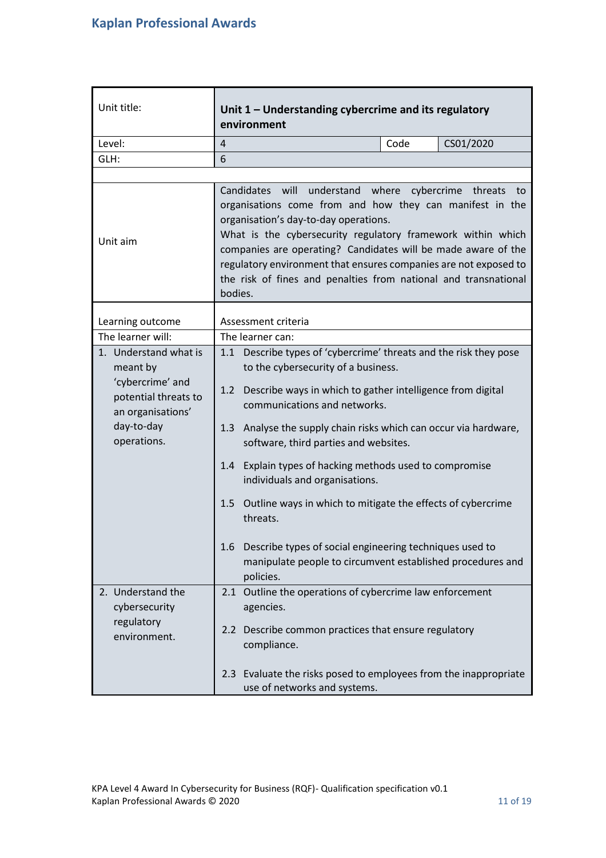<span id="page-10-0"></span>

| Unit title:                                                                                                                     | Unit $1$ – Understanding cybercrime and its regulatory<br>environment                                                                                                                                                                                                                                                                                                                                                                                  |                                                                                                                                                                                                                                                                                                                                                                                                                                                                                                                                                                                                                                   |      |           |
|---------------------------------------------------------------------------------------------------------------------------------|--------------------------------------------------------------------------------------------------------------------------------------------------------------------------------------------------------------------------------------------------------------------------------------------------------------------------------------------------------------------------------------------------------------------------------------------------------|-----------------------------------------------------------------------------------------------------------------------------------------------------------------------------------------------------------------------------------------------------------------------------------------------------------------------------------------------------------------------------------------------------------------------------------------------------------------------------------------------------------------------------------------------------------------------------------------------------------------------------------|------|-----------|
| Level:                                                                                                                          | 4                                                                                                                                                                                                                                                                                                                                                                                                                                                      |                                                                                                                                                                                                                                                                                                                                                                                                                                                                                                                                                                                                                                   | Code | CS01/2020 |
| GLH:                                                                                                                            | 6                                                                                                                                                                                                                                                                                                                                                                                                                                                      |                                                                                                                                                                                                                                                                                                                                                                                                                                                                                                                                                                                                                                   |      |           |
|                                                                                                                                 |                                                                                                                                                                                                                                                                                                                                                                                                                                                        |                                                                                                                                                                                                                                                                                                                                                                                                                                                                                                                                                                                                                                   |      |           |
| Unit aim                                                                                                                        | Candidates<br>will<br>understand where<br>cybercrime threats to<br>organisations come from and how they can manifest in the<br>organisation's day-to-day operations.<br>What is the cybersecurity regulatory framework within which<br>companies are operating? Candidates will be made aware of the<br>regulatory environment that ensures companies are not exposed to<br>the risk of fines and penalties from national and transnational<br>bodies. |                                                                                                                                                                                                                                                                                                                                                                                                                                                                                                                                                                                                                                   |      |           |
| Learning outcome                                                                                                                |                                                                                                                                                                                                                                                                                                                                                                                                                                                        | Assessment criteria                                                                                                                                                                                                                                                                                                                                                                                                                                                                                                                                                                                                               |      |           |
| The learner will:                                                                                                               |                                                                                                                                                                                                                                                                                                                                                                                                                                                        | The learner can:                                                                                                                                                                                                                                                                                                                                                                                                                                                                                                                                                                                                                  |      |           |
| 1. Understand what is<br>meant by<br>'cybercrime' and<br>potential threats to<br>an organisations'<br>day-to-day<br>operations. | 1.2<br>1.3<br>1.5                                                                                                                                                                                                                                                                                                                                                                                                                                      | 1.1 Describe types of 'cybercrime' threats and the risk they pose<br>to the cybersecurity of a business.<br>Describe ways in which to gather intelligence from digital<br>communications and networks.<br>Analyse the supply chain risks which can occur via hardware,<br>software, third parties and websites.<br>1.4 Explain types of hacking methods used to compromise<br>individuals and organisations.<br>Outline ways in which to mitigate the effects of cybercrime<br>threats.<br>1.6 Describe types of social engineering techniques used to<br>manipulate people to circumvent established procedures and<br>policies. |      |           |
| 2. Understand the<br>cybersecurity<br>regulatory<br>environment.                                                                |                                                                                                                                                                                                                                                                                                                                                                                                                                                        | 2.1 Outline the operations of cybercrime law enforcement<br>agencies.<br>2.2 Describe common practices that ensure regulatory<br>compliance.<br>2.3 Evaluate the risks posed to employees from the inappropriate<br>use of networks and systems.                                                                                                                                                                                                                                                                                                                                                                                  |      |           |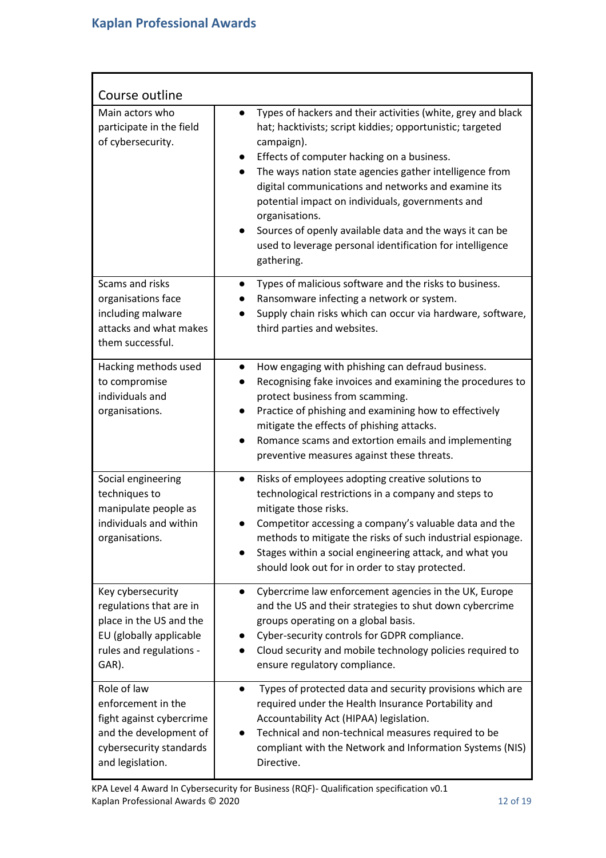| Course outline                                                                                                                         |                                                                                                                                                                                                                                                                                                                                                                                                                                                                                                                                  |
|----------------------------------------------------------------------------------------------------------------------------------------|----------------------------------------------------------------------------------------------------------------------------------------------------------------------------------------------------------------------------------------------------------------------------------------------------------------------------------------------------------------------------------------------------------------------------------------------------------------------------------------------------------------------------------|
| Main actors who<br>participate in the field<br>of cybersecurity.                                                                       | Types of hackers and their activities (white, grey and black<br>hat; hacktivists; script kiddies; opportunistic; targeted<br>campaign).<br>Effects of computer hacking on a business.<br>The ways nation state agencies gather intelligence from<br>digital communications and networks and examine its<br>potential impact on individuals, governments and<br>organisations.<br>Sources of openly available data and the ways it can be<br>$\bullet$<br>used to leverage personal identification for intelligence<br>gathering. |
| Scams and risks<br>organisations face<br>including malware<br>attacks and what makes<br>them successful.                               | Types of malicious software and the risks to business.<br>$\bullet$<br>Ransomware infecting a network or system.<br>Supply chain risks which can occur via hardware, software,<br>third parties and websites.                                                                                                                                                                                                                                                                                                                    |
| Hacking methods used<br>to compromise<br>individuals and<br>organisations.                                                             | How engaging with phishing can defraud business.<br>$\bullet$<br>Recognising fake invoices and examining the procedures to<br>protect business from scamming.<br>Practice of phishing and examining how to effectively<br>mitigate the effects of phishing attacks.<br>Romance scams and extortion emails and implementing<br>preventive measures against these threats.                                                                                                                                                         |
| Social engineering<br>techniques to<br>manipulate people as<br>individuals and within<br>organisations.                                | Risks of employees adopting creative solutions to<br>$\bullet$<br>technological restrictions in a company and steps to<br>mitigate those risks.<br>Competitor accessing a company's valuable data and the<br>methods to mitigate the risks of such industrial espionage.<br>Stages within a social engineering attack, and what you<br>should look out for in order to stay protected.                                                                                                                                           |
| Key cybersecurity<br>regulations that are in<br>place in the US and the<br>EU (globally applicable<br>rules and regulations -<br>GAR). | Cybercrime law enforcement agencies in the UK, Europe<br>$\bullet$<br>and the US and their strategies to shut down cybercrime<br>groups operating on a global basis.<br>Cyber-security controls for GDPR compliance.<br>Cloud security and mobile technology policies required to<br>ensure regulatory compliance.                                                                                                                                                                                                               |
| Role of law<br>enforcement in the<br>fight against cybercrime<br>and the development of<br>cybersecurity standards<br>and legislation. | Types of protected data and security provisions which are<br>$\bullet$<br>required under the Health Insurance Portability and<br>Accountability Act (HIPAA) legislation.<br>Technical and non-technical measures required to be<br>compliant with the Network and Information Systems (NIS)<br>Directive.                                                                                                                                                                                                                        |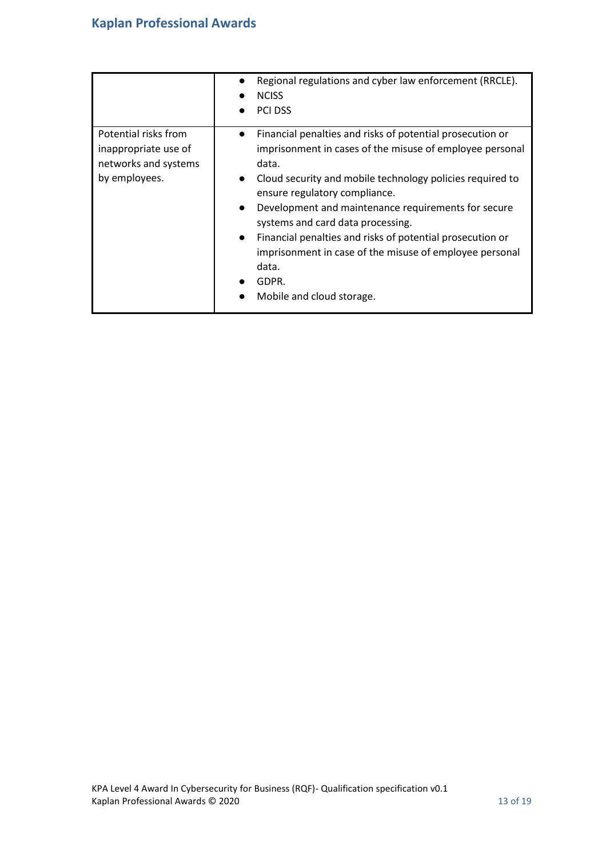|                                                                                       | Regional regulations and cyber law enforcement (RRCLE).<br><b>NCISS</b><br><b>PCI DSS</b>                                                                                                                                                                                                                                                                                                                                                                                                                                                           |
|---------------------------------------------------------------------------------------|-----------------------------------------------------------------------------------------------------------------------------------------------------------------------------------------------------------------------------------------------------------------------------------------------------------------------------------------------------------------------------------------------------------------------------------------------------------------------------------------------------------------------------------------------------|
| Potential risks from<br>inappropriate use of<br>networks and systems<br>by employees. | Financial penalties and risks of potential prosecution or<br>$\bullet$<br>imprisonment in cases of the misuse of employee personal<br>data.<br>Cloud security and mobile technology policies required to<br>$\bullet$<br>ensure regulatory compliance.<br>Development and maintenance requirements for secure<br>$\bullet$<br>systems and card data processing.<br>Financial penalties and risks of potential prosecution or<br>$\bullet$<br>imprisonment in case of the misuse of employee personal<br>data.<br>GDPR.<br>Mobile and cloud storage. |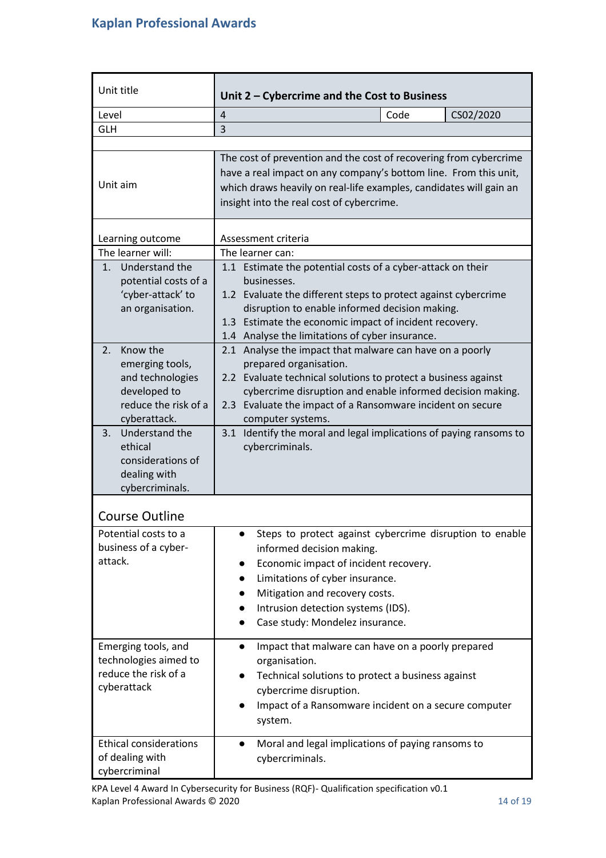<span id="page-13-0"></span>

| Unit title                                                                                                                            | Unit 2 - Cybercrime and the Cost to Business                                                                                                                                                                                                                                                                                                                                   |  |  |  |
|---------------------------------------------------------------------------------------------------------------------------------------|--------------------------------------------------------------------------------------------------------------------------------------------------------------------------------------------------------------------------------------------------------------------------------------------------------------------------------------------------------------------------------|--|--|--|
| Level                                                                                                                                 | $\overline{4}$<br>CS02/2020<br>Code                                                                                                                                                                                                                                                                                                                                            |  |  |  |
| <b>GLH</b>                                                                                                                            | 3                                                                                                                                                                                                                                                                                                                                                                              |  |  |  |
|                                                                                                                                       |                                                                                                                                                                                                                                                                                                                                                                                |  |  |  |
| Unit aim                                                                                                                              | The cost of prevention and the cost of recovering from cybercrime<br>have a real impact on any company's bottom line. From this unit,<br>which draws heavily on real-life examples, candidates will gain an<br>insight into the real cost of cybercrime.                                                                                                                       |  |  |  |
| Learning outcome                                                                                                                      | Assessment criteria                                                                                                                                                                                                                                                                                                                                                            |  |  |  |
| The learner will:                                                                                                                     | The learner can:                                                                                                                                                                                                                                                                                                                                                               |  |  |  |
| Understand the<br>1.<br>potential costs of a<br>'cyber-attack' to<br>an organisation.                                                 | 1.1 Estimate the potential costs of a cyber-attack on their<br>businesses.<br>1.2 Evaluate the different steps to protect against cybercrime<br>disruption to enable informed decision making.<br>1.3 Estimate the economic impact of incident recovery.<br>1.4 Analyse the limitations of cyber insurance.                                                                    |  |  |  |
| Know the<br>2.<br>emerging tools,<br>and technologies<br>developed to<br>reduce the risk of a<br>cyberattack.<br>Understand the<br>3. | 2.1 Analyse the impact that malware can have on a poorly<br>prepared organisation.<br>2.2 Evaluate technical solutions to protect a business against<br>cybercrime disruption and enable informed decision making.<br>2.3 Evaluate the impact of a Ransomware incident on secure<br>computer systems.<br>Identify the moral and legal implications of paying ransoms to<br>3.1 |  |  |  |
| ethical<br>considerations of<br>dealing with<br>cybercriminals.                                                                       | cybercriminals.                                                                                                                                                                                                                                                                                                                                                                |  |  |  |
| <b>Course Outline</b>                                                                                                                 |                                                                                                                                                                                                                                                                                                                                                                                |  |  |  |
| Potential costs to a<br>business of a cyber-<br>attack.                                                                               | Steps to protect against cybercrime disruption to enable<br>informed decision making.<br>Economic impact of incident recovery.<br>$\bullet$<br>Limitations of cyber insurance.<br>$\bullet$<br>Mitigation and recovery costs.<br>$\bullet$<br>Intrusion detection systems (IDS).<br>$\bullet$<br>Case study: Mondelez insurance.                                               |  |  |  |
| Emerging tools, and<br>technologies aimed to<br>reduce the risk of a<br>cyberattack                                                   | Impact that malware can have on a poorly prepared<br>$\bullet$<br>organisation.<br>Technical solutions to protect a business against<br>$\bullet$<br>cybercrime disruption.<br>Impact of a Ransomware incident on a secure computer<br>system.                                                                                                                                 |  |  |  |
| <b>Ethical considerations</b><br>of dealing with<br>cybercriminal                                                                     | Moral and legal implications of paying ransoms to<br>$\bullet$<br>cybercriminals.                                                                                                                                                                                                                                                                                              |  |  |  |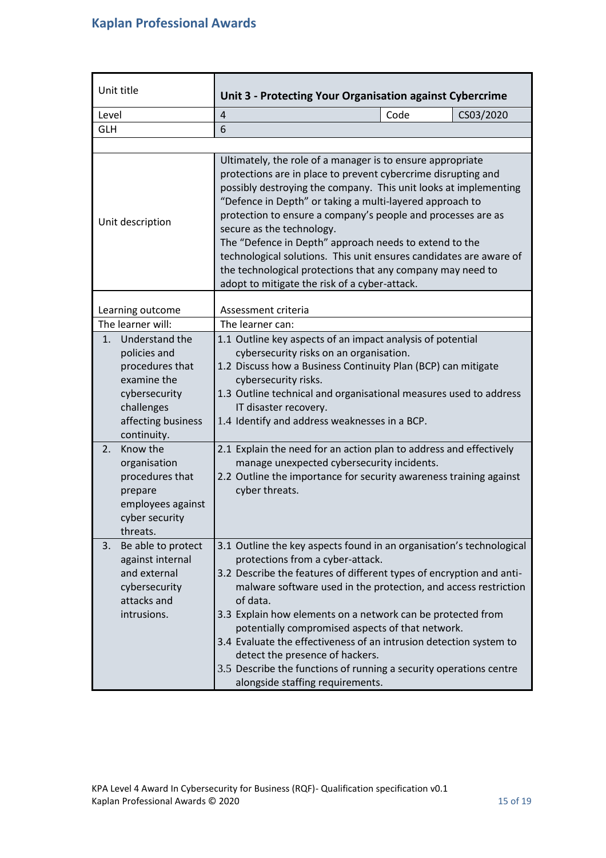<span id="page-14-0"></span>

| Unit title                                                                                                                                 | Unit 3 - Protecting Your Organisation against Cybercrime                                                                                                                                                                                                                                                                                                                                                                                                                                                                                                                                                |  |
|--------------------------------------------------------------------------------------------------------------------------------------------|---------------------------------------------------------------------------------------------------------------------------------------------------------------------------------------------------------------------------------------------------------------------------------------------------------------------------------------------------------------------------------------------------------------------------------------------------------------------------------------------------------------------------------------------------------------------------------------------------------|--|
| Level                                                                                                                                      | Code<br>$\overline{4}$<br>CS03/2020                                                                                                                                                                                                                                                                                                                                                                                                                                                                                                                                                                     |  |
| <b>GLH</b>                                                                                                                                 | 6                                                                                                                                                                                                                                                                                                                                                                                                                                                                                                                                                                                                       |  |
|                                                                                                                                            |                                                                                                                                                                                                                                                                                                                                                                                                                                                                                                                                                                                                         |  |
| Unit description                                                                                                                           | Ultimately, the role of a manager is to ensure appropriate<br>protections are in place to prevent cybercrime disrupting and<br>possibly destroying the company. This unit looks at implementing<br>"Defence in Depth" or taking a multi-layered approach to<br>protection to ensure a company's people and processes are as<br>secure as the technology.<br>The "Defence in Depth" approach needs to extend to the<br>technological solutions. This unit ensures candidates are aware of<br>the technological protections that any company may need to<br>adopt to mitigate the risk of a cyber-attack. |  |
| Learning outcome                                                                                                                           | Assessment criteria                                                                                                                                                                                                                                                                                                                                                                                                                                                                                                                                                                                     |  |
| The learner will:                                                                                                                          | The learner can:                                                                                                                                                                                                                                                                                                                                                                                                                                                                                                                                                                                        |  |
| Understand the<br>1.<br>policies and<br>procedures that<br>examine the<br>cybersecurity<br>challenges<br>affecting business<br>continuity. | 1.1 Outline key aspects of an impact analysis of potential<br>cybersecurity risks on an organisation.<br>1.2 Discuss how a Business Continuity Plan (BCP) can mitigate<br>cybersecurity risks.<br>1.3 Outline technical and organisational measures used to address<br>IT disaster recovery.<br>1.4 Identify and address weaknesses in a BCP.                                                                                                                                                                                                                                                           |  |
| Know the<br>2.<br>organisation<br>procedures that<br>prepare<br>employees against<br>cyber security<br>threats.                            | 2.1 Explain the need for an action plan to address and effectively<br>manage unexpected cybersecurity incidents.<br>2.2 Outline the importance for security awareness training against<br>cyber threats.                                                                                                                                                                                                                                                                                                                                                                                                |  |
| Be able to protect<br>3.<br>against internal<br>and external<br>cybersecurity<br>attacks and<br>intrusions.                                | 3.1 Outline the key aspects found in an organisation's technological<br>protections from a cyber-attack.<br>3.2 Describe the features of different types of encryption and anti-<br>malware software used in the protection, and access restriction<br>of data.<br>3.3 Explain how elements on a network can be protected from<br>potentially compromised aspects of that network.<br>3.4 Evaluate the effectiveness of an intrusion detection system to<br>detect the presence of hackers.<br>3.5 Describe the functions of running a security operations centre<br>alongside staffing requirements.   |  |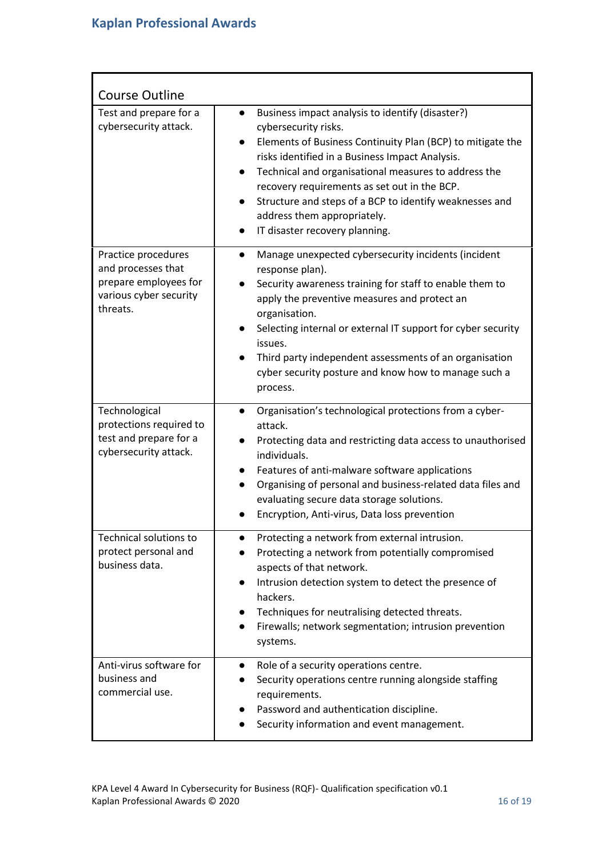| <b>Course Outline</b>                                                                                    |                                                                                                                                                                                                                                                                                                                                                                                                                                                                      |
|----------------------------------------------------------------------------------------------------------|----------------------------------------------------------------------------------------------------------------------------------------------------------------------------------------------------------------------------------------------------------------------------------------------------------------------------------------------------------------------------------------------------------------------------------------------------------------------|
| Test and prepare for a<br>cybersecurity attack.                                                          | Business impact analysis to identify (disaster?)<br>cybersecurity risks.<br>Elements of Business Continuity Plan (BCP) to mitigate the<br>$\bullet$<br>risks identified in a Business Impact Analysis.<br>Technical and organisational measures to address the<br>$\bullet$<br>recovery requirements as set out in the BCP.<br>Structure and steps of a BCP to identify weaknesses and<br>address them appropriately.<br>IT disaster recovery planning.<br>$\bullet$ |
| Practice procedures<br>and processes that<br>prepare employees for<br>various cyber security<br>threats. | Manage unexpected cybersecurity incidents (incident<br>$\bullet$<br>response plan).<br>Security awareness training for staff to enable them to<br>apply the preventive measures and protect an<br>organisation.<br>Selecting internal or external IT support for cyber security<br>issues.<br>Third party independent assessments of an organisation<br>cyber security posture and know how to manage such a<br>process.                                             |
| Technological<br>protections required to<br>test and prepare for a<br>cybersecurity attack.              | Organisation's technological protections from a cyber-<br>$\bullet$<br>attack.<br>Protecting data and restricting data access to unauthorised<br>individuals.<br>Features of anti-malware software applications<br>$\bullet$<br>Organising of personal and business-related data files and<br>evaluating secure data storage solutions.<br>Encryption, Anti-virus, Data loss prevention                                                                              |
| <b>Technical solutions to</b><br>protect personal and<br>business data.                                  | Protecting a network from external intrusion.<br>Protecting a network from potentially compromised<br>aspects of that network.<br>Intrusion detection system to detect the presence of<br>$\bullet$<br>hackers.<br>Techniques for neutralising detected threats.<br>$\bullet$<br>Firewalls; network segmentation; intrusion prevention<br>$\bullet$<br>systems.                                                                                                      |
| Anti-virus software for<br>business and<br>commercial use.                                               | Role of a security operations centre.<br>$\bullet$<br>Security operations centre running alongside staffing<br>$\bullet$<br>requirements.<br>Password and authentication discipline.<br>Security information and event management.                                                                                                                                                                                                                                   |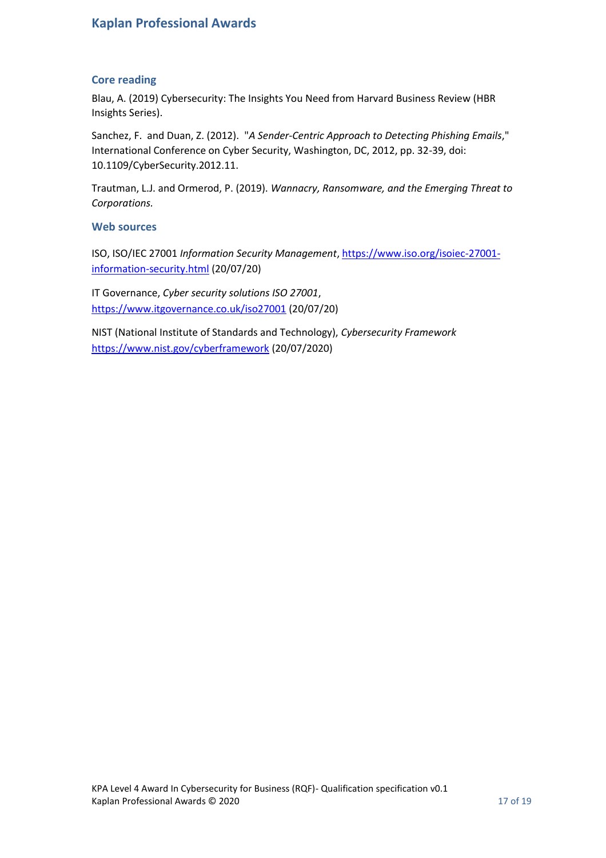### **Kaplan Professional Awards**

### <span id="page-16-0"></span>**Core reading**

Blau, A. (2019) Cybersecurity: The Insights You Need from Harvard Business Review (HBR Insights Series).

Sanchez, F. and Duan, Z. (2012). "*A Sender-Centric Approach to Detecting Phishing Emails*," International Conference on Cyber Security, Washington, DC, 2012, pp. 32-39, doi: 10.1109/CyberSecurity.2012.11.

Trautman, L.J. and Ormerod, P. (2019). *Wannacry, Ransomware, and the Emerging Threat to Corporations.*

### **Web sources**

ISO, ISO/IEC 27001 *Information Security Management*[,](https://www.iso.org/isoiec-27001-information-security.html) [https://www.iso.org/isoiec-27001](https://www.iso.org/isoiec-27001-information-security.html) [information-security.html](https://www.iso.org/isoiec-27001-information-security.html) (20/07/20)

IT Governance, *Cyber security solutions ISO 27001*[,](https://www.itgovernance.co.uk/iso27001) <https://www.itgovernance.co.uk/iso27001> (20/07/20)

NIST (National Institute of Standards and Technology), *Cybersecurity Framewor[k](https://www.nist.gov/cyberframework)* <https://www.nist.gov/cyberframework> (20/07/2020)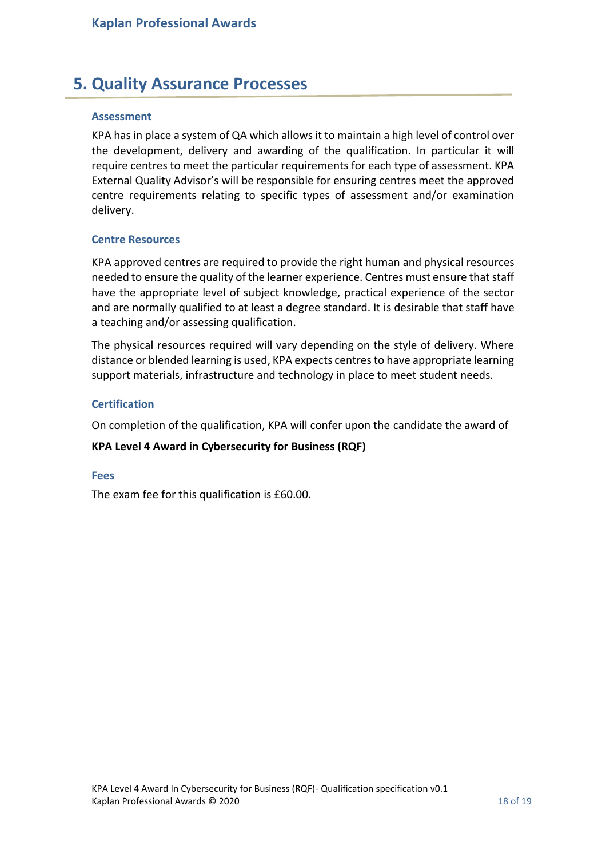# <span id="page-17-0"></span>**5. Quality Assurance Processes**

### <span id="page-17-1"></span>**Assessment**

KPA has in place a system of QA which allows it to maintain a high level of control over the development, delivery and awarding of the qualification. In particular it will require centres to meet the particular requirements for each type of assessment. KPA External Quality Advisor's will be responsible for ensuring centres meet the approved centre requirements relating to specific types of assessment and/or examination delivery.

#### <span id="page-17-2"></span>**Centre Resources**

KPA approved centres are required to provide the right human and physical resources needed to ensure the quality of the learner experience. Centres must ensure that staff have the appropriate level of subject knowledge, practical experience of the sector and are normally qualified to at least a degree standard. It is desirable that staff have a teaching and/or assessing qualification.

The physical resources required will vary depending on the style of delivery. Where distance or blended learning is used, KPA expects centres to have appropriate learning support materials, infrastructure and technology in place to meet student needs.

#### <span id="page-17-3"></span>**Certification**

On completion of the qualification, KPA will confer upon the candidate the award of

### **KPA Level 4 Award in Cybersecurity for Business (RQF)**

#### <span id="page-17-4"></span>**Fees**

The exam fee for this qualification is £60.00.